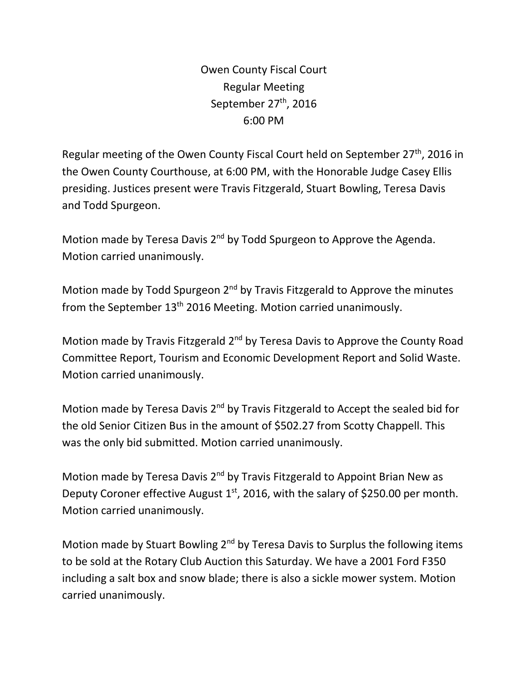Owen County Fiscal Court Regular Meeting September  $27<sup>th</sup>$ , 2016 6:00 PM

Regular meeting of the Owen County Fiscal Court held on September  $27<sup>th</sup>$ , 2016 in the Owen County Courthouse, at 6:00 PM, with the Honorable Judge Casey Ellis presiding. Justices present were Travis Fitzgerald, Stuart Bowling, Teresa Davis and Todd Spurgeon.

Motion made by Teresa Davis 2<sup>nd</sup> by Todd Spurgeon to Approve the Agenda. Motion carried unanimously.

Motion made by Todd Spurgeon 2<sup>nd</sup> by Travis Fitzgerald to Approve the minutes from the September 13<sup>th</sup> 2016 Meeting. Motion carried unanimously.

Motion made by Travis Fitzgerald 2<sup>nd</sup> by Teresa Davis to Approve the County Road Committee Report, Tourism and Economic Development Report and Solid Waste. Motion carried unanimously.

Motion made by Teresa Davis 2<sup>nd</sup> by Travis Fitzgerald to Accept the sealed bid for the old Senior Citizen Bus in the amount of \$502.27 from Scotty Chappell. This was the only bid submitted. Motion carried unanimously.

Motion made by Teresa Davis 2<sup>nd</sup> by Travis Fitzgerald to Appoint Brian New as Deputy Coroner effective August  $1<sup>st</sup>$ , 2016, with the salary of \$250.00 per month. Motion carried unanimously.

Motion made by Stuart Bowling 2<sup>nd</sup> by Teresa Davis to Surplus the following items to be sold at the Rotary Club Auction this Saturday. We have a 2001 Ford F350 including a salt box and snow blade; there is also a sickle mower system. Motion carried unanimously.